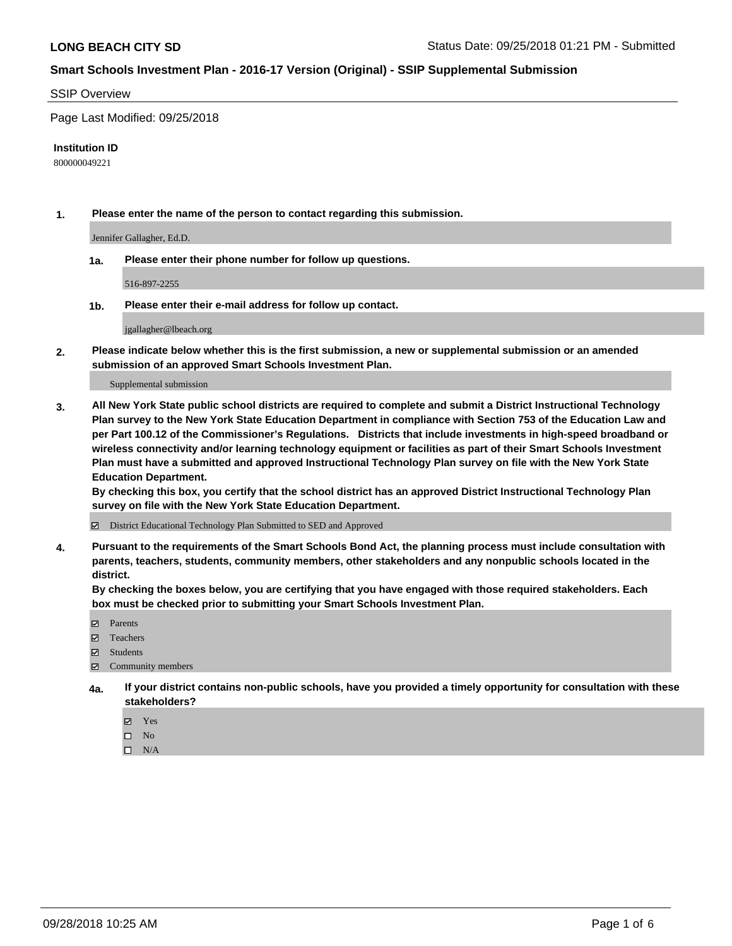#### SSIP Overview

Page Last Modified: 09/25/2018

#### **Institution ID**

800000049221

**1. Please enter the name of the person to contact regarding this submission.**

Jennifer Gallagher, Ed.D.

**1a. Please enter their phone number for follow up questions.**

516-897-2255

**1b. Please enter their e-mail address for follow up contact.**

jgallagher@lbeach.org

**2. Please indicate below whether this is the first submission, a new or supplemental submission or an amended submission of an approved Smart Schools Investment Plan.**

Supplemental submission

**3. All New York State public school districts are required to complete and submit a District Instructional Technology Plan survey to the New York State Education Department in compliance with Section 753 of the Education Law and per Part 100.12 of the Commissioner's Regulations. Districts that include investments in high-speed broadband or wireless connectivity and/or learning technology equipment or facilities as part of their Smart Schools Investment Plan must have a submitted and approved Instructional Technology Plan survey on file with the New York State Education Department.** 

**By checking this box, you certify that the school district has an approved District Instructional Technology Plan survey on file with the New York State Education Department.**

District Educational Technology Plan Submitted to SED and Approved

**4. Pursuant to the requirements of the Smart Schools Bond Act, the planning process must include consultation with parents, teachers, students, community members, other stakeholders and any nonpublic schools located in the district.** 

**By checking the boxes below, you are certifying that you have engaged with those required stakeholders. Each box must be checked prior to submitting your Smart Schools Investment Plan.**

- **□** Parents
- Teachers
- Students
- $\boxtimes$  Community members
- **4a. If your district contains non-public schools, have you provided a timely opportunity for consultation with these stakeholders?**
	- Yes
	- $\qquad \qquad$  No
	- $\square$  N/A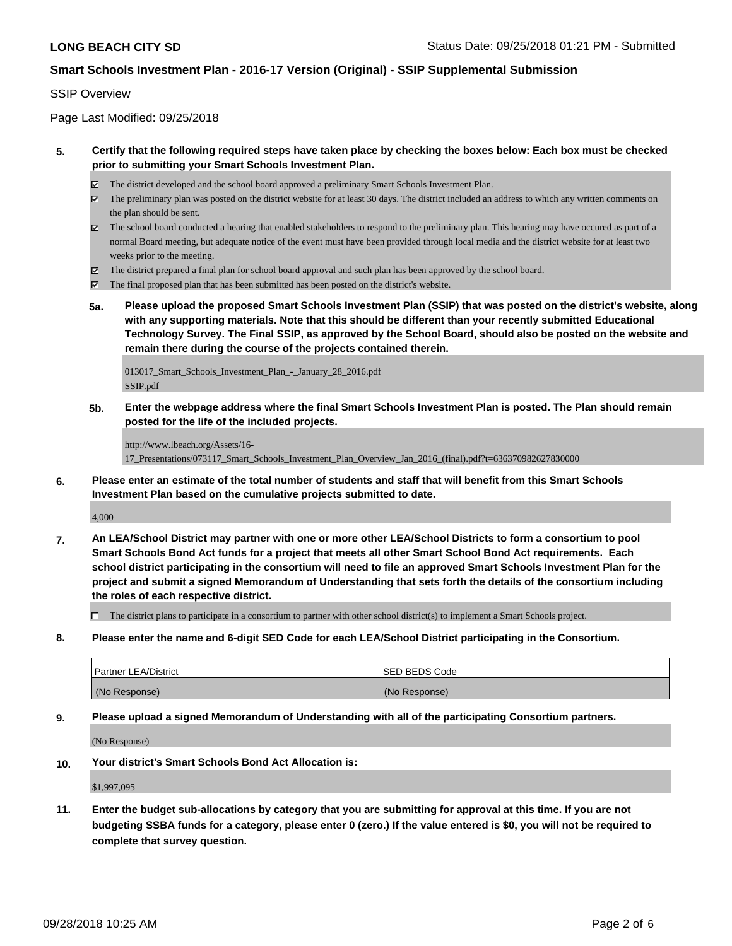#### SSIP Overview

Page Last Modified: 09/25/2018

#### **5. Certify that the following required steps have taken place by checking the boxes below: Each box must be checked prior to submitting your Smart Schools Investment Plan.**

- The district developed and the school board approved a preliminary Smart Schools Investment Plan.
- $\boxtimes$  The preliminary plan was posted on the district website for at least 30 days. The district included an address to which any written comments on the plan should be sent.
- $\boxtimes$  The school board conducted a hearing that enabled stakeholders to respond to the preliminary plan. This hearing may have occured as part of a normal Board meeting, but adequate notice of the event must have been provided through local media and the district website for at least two weeks prior to the meeting.
- The district prepared a final plan for school board approval and such plan has been approved by the school board.
- $\boxtimes$  The final proposed plan that has been submitted has been posted on the district's website.
- **5a. Please upload the proposed Smart Schools Investment Plan (SSIP) that was posted on the district's website, along with any supporting materials. Note that this should be different than your recently submitted Educational Technology Survey. The Final SSIP, as approved by the School Board, should also be posted on the website and remain there during the course of the projects contained therein.**

013017\_Smart\_Schools\_Investment\_Plan\_-\_January\_28\_2016.pdf SSIP.pdf

**5b. Enter the webpage address where the final Smart Schools Investment Plan is posted. The Plan should remain posted for the life of the included projects.**

http://www.lbeach.org/Assets/16- 17\_Presentations/073117\_Smart\_Schools\_Investment\_Plan\_Overview\_Jan\_2016\_(final).pdf?t=636370982627830000

**6. Please enter an estimate of the total number of students and staff that will benefit from this Smart Schools Investment Plan based on the cumulative projects submitted to date.**

4,000

**7. An LEA/School District may partner with one or more other LEA/School Districts to form a consortium to pool Smart Schools Bond Act funds for a project that meets all other Smart School Bond Act requirements. Each school district participating in the consortium will need to file an approved Smart Schools Investment Plan for the project and submit a signed Memorandum of Understanding that sets forth the details of the consortium including the roles of each respective district.**

 $\Box$  The district plans to participate in a consortium to partner with other school district(s) to implement a Smart Schools project.

**8. Please enter the name and 6-digit SED Code for each LEA/School District participating in the Consortium.**

| <b>Partner LEA/District</b> | ISED BEDS Code |
|-----------------------------|----------------|
| (No Response)               | (No Response)  |

**9. Please upload a signed Memorandum of Understanding with all of the participating Consortium partners.**

(No Response)

**10. Your district's Smart Schools Bond Act Allocation is:**

\$1,997,095

**11. Enter the budget sub-allocations by category that you are submitting for approval at this time. If you are not budgeting SSBA funds for a category, please enter 0 (zero.) If the value entered is \$0, you will not be required to complete that survey question.**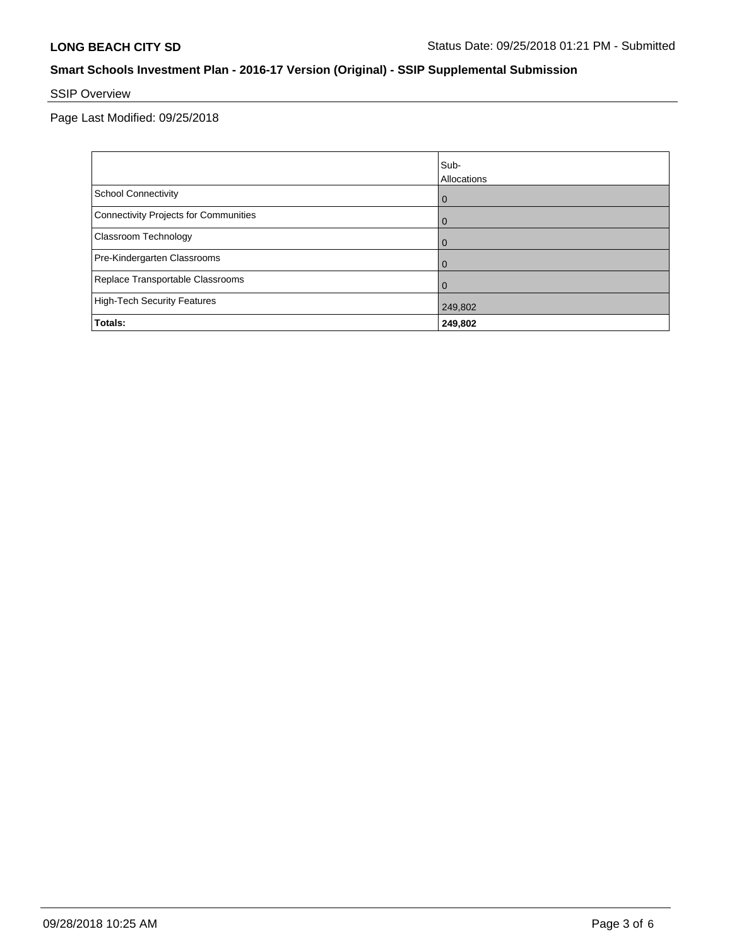# SSIP Overview

Page Last Modified: 09/25/2018

|                                       | Sub-<br>Allocations |
|---------------------------------------|---------------------|
| School Connectivity                   | $\mathbf 0$         |
| Connectivity Projects for Communities | $\mathbf 0$         |
| <b>Classroom Technology</b>           | $\mathbf 0$         |
| Pre-Kindergarten Classrooms           | $\mathbf 0$         |
| Replace Transportable Classrooms      | $\Omega$            |
| High-Tech Security Features           | 249,802             |
| Totals:                               | 249,802             |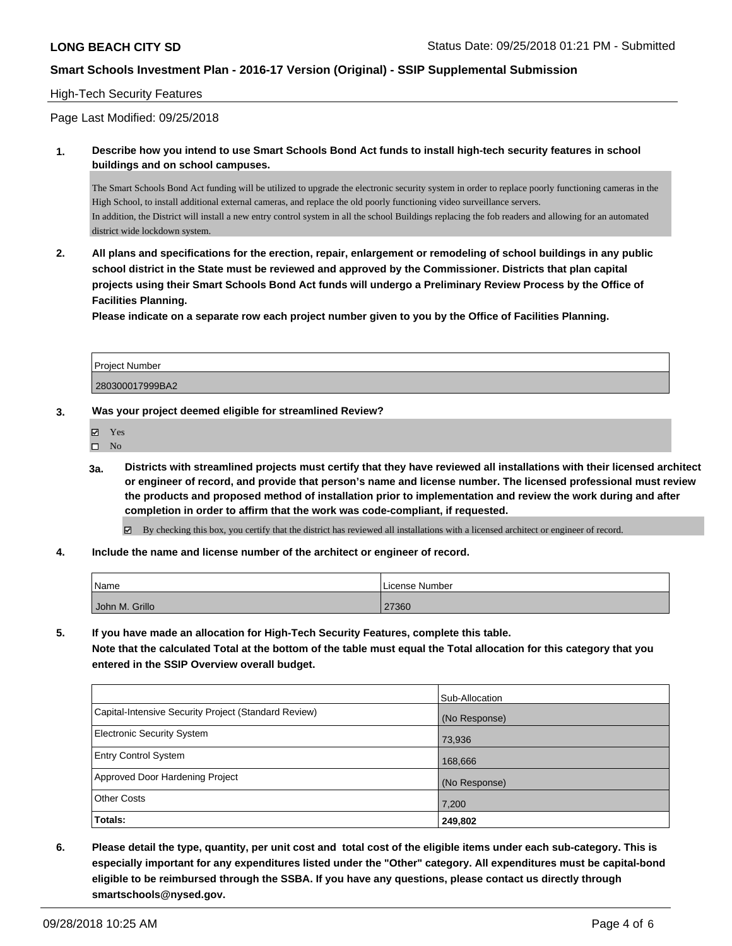### High-Tech Security Features

Page Last Modified: 09/25/2018

**1. Describe how you intend to use Smart Schools Bond Act funds to install high-tech security features in school buildings and on school campuses.**

The Smart Schools Bond Act funding will be utilized to upgrade the electronic security system in order to replace poorly functioning cameras in the High School, to install additional external cameras, and replace the old poorly functioning video surveillance servers. In addition, the District will install a new entry control system in all the school Buildings replacing the fob readers and allowing for an automated district wide lockdown system.

**2. All plans and specifications for the erection, repair, enlargement or remodeling of school buildings in any public school district in the State must be reviewed and approved by the Commissioner. Districts that plan capital projects using their Smart Schools Bond Act funds will undergo a Preliminary Review Process by the Office of Facilities Planning.** 

**Please indicate on a separate row each project number given to you by the Office of Facilities Planning.**

| l Proiect Number |  |
|------------------|--|
| 280300017999BA2  |  |

- **3. Was your project deemed eligible for streamlined Review?**
	- Yes
	- $\square$  No
	- **3a. Districts with streamlined projects must certify that they have reviewed all installations with their licensed architect or engineer of record, and provide that person's name and license number. The licensed professional must review the products and proposed method of installation prior to implementation and review the work during and after completion in order to affirm that the work was code-compliant, if requested.**

By checking this box, you certify that the district has reviewed all installations with a licensed architect or engineer of record.

**4. Include the name and license number of the architect or engineer of record.**

| Name           | License Number |  |
|----------------|----------------|--|
| John M. Grillo | 27360          |  |

**5. If you have made an allocation for High-Tech Security Features, complete this table.**

**Note that the calculated Total at the bottom of the table must equal the Total allocation for this category that you entered in the SSIP Overview overall budget.**

| <b>Totals:</b>                                       | 249,802        |
|------------------------------------------------------|----------------|
| <b>Other Costs</b>                                   | 7,200          |
| Approved Door Hardening Project                      | (No Response)  |
| <b>Entry Control System</b>                          | 168,666        |
| <b>Electronic Security System</b>                    | 73,936         |
| Capital-Intensive Security Project (Standard Review) | (No Response)  |
|                                                      | Sub-Allocation |

**6. Please detail the type, quantity, per unit cost and total cost of the eligible items under each sub-category. This is especially important for any expenditures listed under the "Other" category. All expenditures must be capital-bond eligible to be reimbursed through the SSBA. If you have any questions, please contact us directly through smartschools@nysed.gov.**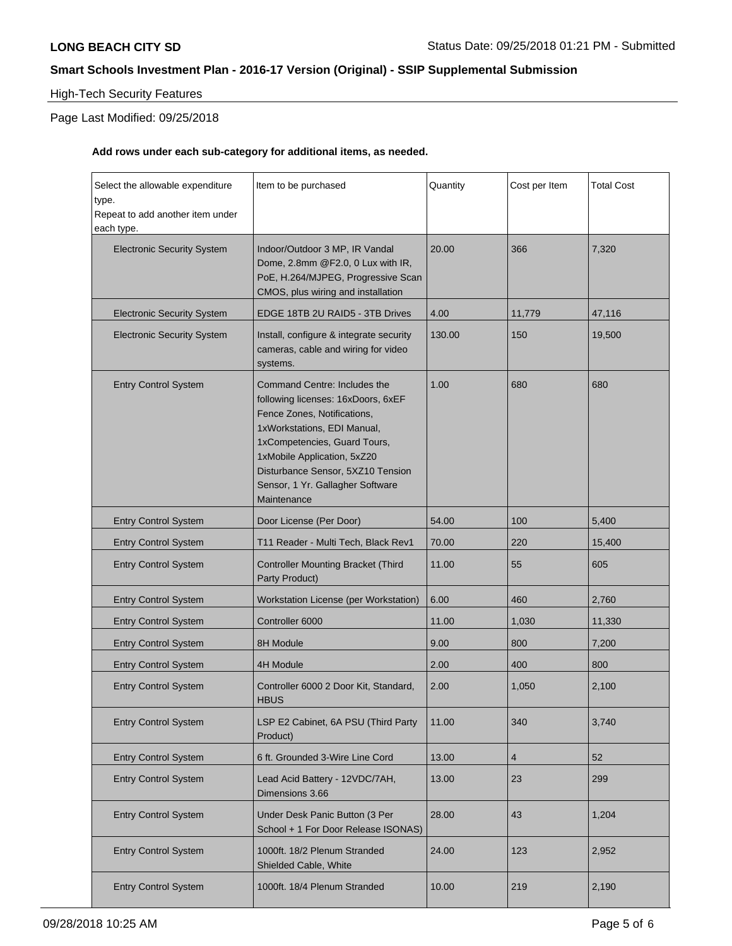# High-Tech Security Features

## Page Last Modified: 09/25/2018

## **Add rows under each sub-category for additional items, as needed.**

| Select the allowable expenditure<br>type.<br>Repeat to add another item under<br>each type. | Item to be purchased                                                                                                                                                                                                                                                                    | Quantity | Cost per Item  | <b>Total Cost</b> |
|---------------------------------------------------------------------------------------------|-----------------------------------------------------------------------------------------------------------------------------------------------------------------------------------------------------------------------------------------------------------------------------------------|----------|----------------|-------------------|
| <b>Electronic Security System</b>                                                           | Indoor/Outdoor 3 MP, IR Vandal<br>Dome, 2.8mm @F2.0, 0 Lux with IR,<br>PoE, H.264/MJPEG, Progressive Scan<br>CMOS, plus wiring and installation                                                                                                                                         | 20.00    | 366            | 7,320             |
| <b>Electronic Security System</b>                                                           | EDGE 18TB 2U RAID5 - 3TB Drives                                                                                                                                                                                                                                                         | 4.00     | 11,779         | 47,116            |
| <b>Electronic Security System</b>                                                           | Install, configure & integrate security<br>cameras, cable and wiring for video<br>systems.                                                                                                                                                                                              | 130.00   | 150            | 19,500            |
| <b>Entry Control System</b>                                                                 | Command Centre: Includes the<br>following licenses: 16xDoors, 6xEF<br>Fence Zones, Notifications,<br>1xWorkstations, EDI Manual,<br>1xCompetencies, Guard Tours,<br>1xMobile Application, 5xZ20<br>Disturbance Sensor, 5XZ10 Tension<br>Sensor, 1 Yr. Gallagher Software<br>Maintenance | 1.00     | 680            | 680               |
| <b>Entry Control System</b>                                                                 | Door License (Per Door)                                                                                                                                                                                                                                                                 | 54.00    | 100            | 5,400             |
| <b>Entry Control System</b>                                                                 | T11 Reader - Multi Tech, Black Rev1                                                                                                                                                                                                                                                     | 70.00    | 220            | 15,400            |
| <b>Entry Control System</b>                                                                 | <b>Controller Mounting Bracket (Third</b><br>Party Product)                                                                                                                                                                                                                             | 11.00    | 55             | 605               |
| <b>Entry Control System</b>                                                                 | Workstation License (per Workstation)                                                                                                                                                                                                                                                   | 6.00     | 460            | 2,760             |
| <b>Entry Control System</b>                                                                 | Controller 6000                                                                                                                                                                                                                                                                         | 11.00    | 1,030          | 11,330            |
| <b>Entry Control System</b>                                                                 | 8H Module                                                                                                                                                                                                                                                                               | 9.00     | 800            | 7,200             |
| <b>Entry Control System</b>                                                                 | 4H Module                                                                                                                                                                                                                                                                               | 2.00     | 400            | 800               |
| <b>Entry Control System</b>                                                                 | Controller 6000 2 Door Kit, Standard,<br><b>HBUS</b>                                                                                                                                                                                                                                    | 2.00     | 1,050          | 2,100             |
| <b>Entry Control System</b>                                                                 | LSP E2 Cabinet, 6A PSU (Third Party<br>Product)                                                                                                                                                                                                                                         | 11.00    | 340            | 3,740             |
| <b>Entry Control System</b>                                                                 | 6 ft. Grounded 3-Wire Line Cord                                                                                                                                                                                                                                                         | 13.00    | $\overline{4}$ | 52                |
| <b>Entry Control System</b>                                                                 | Lead Acid Battery - 12VDC/7AH,<br>Dimensions 3.66                                                                                                                                                                                                                                       | 13.00    | 23             | 299               |
| <b>Entry Control System</b>                                                                 | Under Desk Panic Button (3 Per<br>School + 1 For Door Release ISONAS)                                                                                                                                                                                                                   | 28.00    | 43             | 1,204             |
| <b>Entry Control System</b>                                                                 | 1000ft. 18/2 Plenum Stranded<br>Shielded Cable, White                                                                                                                                                                                                                                   | 24.00    | 123            | 2,952             |
| <b>Entry Control System</b>                                                                 | 1000ft. 18/4 Plenum Stranded                                                                                                                                                                                                                                                            | 10.00    | 219            | 2,190             |